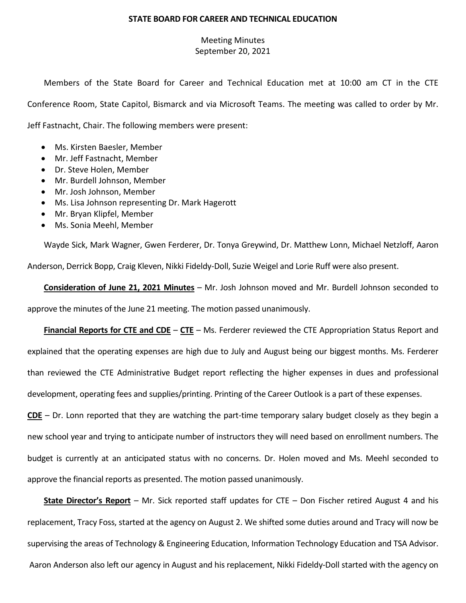## **STATE BOARD FOR CAREER AND TECHNICAL EDUCATION**

## Meeting Minutes September 20, 2021

Members of the State Board for Career and Technical Education met at 10:00 am CT in the CTE Conference Room, State Capitol, Bismarck and via Microsoft Teams. The meeting was called to order by Mr. Jeff Fastnacht, Chair. The following members were present:

- Ms. Kirsten Baesler, Member
- Mr. Jeff Fastnacht, Member
- Dr. Steve Holen, Member
- Mr. Burdell Johnson, Member
- Mr. Josh Johnson, Member
- Ms. Lisa Johnson representing Dr. Mark Hagerott
- Mr. Bryan Klipfel, Member
- Ms. Sonia Meehl, Member

Wayde Sick, Mark Wagner, Gwen Ferderer, Dr. Tonya Greywind, Dr. Matthew Lonn, Michael Netzloff, Aaron Anderson, Derrick Bopp, Craig Kleven, Nikki Fideldy-Doll, Suzie Weigel and Lorie Ruff were also present.

**Consideration of June 21, 2021 Minutes** – Mr. Josh Johnson moved and Mr. Burdell Johnson seconded to approve the minutes of the June 21 meeting. The motion passed unanimously.

**Financial Reports for CTE and CDE** – **CTE** – Ms. Ferderer reviewed the CTE Appropriation Status Report and explained that the operating expenses are high due to July and August being our biggest months. Ms. Ferderer than reviewed the CTE Administrative Budget report reflecting the higher expenses in dues and professional development, operating fees and supplies/printing. Printing of the Career Outlook is a part of these expenses.

**CDE** – Dr. Lonn reported that they are watching the part-time temporary salary budget closely as they begin a new school year and trying to anticipate number of instructors they will need based on enrollment numbers. The budget is currently at an anticipated status with no concerns. Dr. Holen moved and Ms. Meehl seconded to approve the financial reports as presented. The motion passed unanimously.

**State Director's Report** – Mr. Sick reported staff updates for CTE – Don Fischer retired August 4 and his replacement, Tracy Foss, started at the agency on August 2. We shifted some duties around and Tracy will now be supervising the areas of Technology & Engineering Education, Information Technology Education and TSA Advisor. Aaron Anderson also left our agency in August and his replacement, Nikki Fideldy-Doll started with the agency on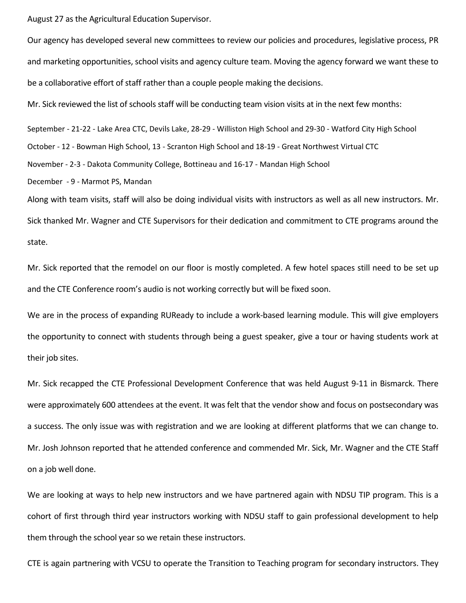August 27 as the Agricultural Education Supervisor.

Our agency has developed several new committees to review our policies and procedures, legislative process, PR and marketing opportunities, school visits and agency culture team. Moving the agency forward we want these to be a collaborative effort of staff rather than a couple people making the decisions.

Mr. Sick reviewed the list of schools staff will be conducting team vision visits at in the next few months:

September - 21-22 - Lake Area CTC, Devils Lake, 28-29 - Williston High School and 29-30 - Watford City High School

October - 12 - Bowman High School, 13 - Scranton High School and 18-19 - Great Northwest Virtual CTC

November - 2-3 - Dakota Community College, Bottineau and 16-17 - Mandan High School

December - 9 - Marmot PS, Mandan

Along with team visits, staff will also be doing individual visits with instructors as well as all new instructors. Mr. Sick thanked Mr. Wagner and CTE Supervisors for their dedication and commitment to CTE programs around the state.

Mr. Sick reported that the remodel on our floor is mostly completed. A few hotel spaces still need to be set up and the CTE Conference room's audio is not working correctly but will be fixed soon.

We are in the process of expanding RUReady to include a work-based learning module. This will give employers the opportunity to connect with students through being a guest speaker, give a tour or having students work at their job sites.

Mr. Sick recapped the CTE Professional Development Conference that was held August 9-11 in Bismarck. There were approximately 600 attendees at the event. It was felt that the vendor show and focus on postsecondary was a success. The only issue was with registration and we are looking at different platforms that we can change to. Mr. Josh Johnson reported that he attended conference and commended Mr. Sick, Mr. Wagner and the CTE Staff on a job well done.

We are looking at ways to help new instructors and we have partnered again with NDSU TIP program. This is a cohort of first through third year instructors working with NDSU staff to gain professional development to help them through the school year so we retain these instructors.

CTE is again partnering with VCSU to operate the Transition to Teaching program for secondary instructors. They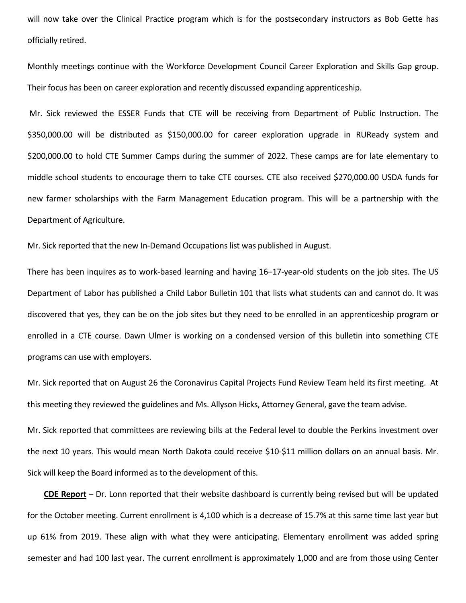will now take over the Clinical Practice program which is for the postsecondary instructors as Bob Gette has officially retired.

Monthly meetings continue with the Workforce Development Council Career Exploration and Skills Gap group. Their focus has been on career exploration and recently discussed expanding apprenticeship.

Mr. Sick reviewed the ESSER Funds that CTE will be receiving from Department of Public Instruction. The \$350,000.00 will be distributed as \$150,000.00 for career exploration upgrade in RUReady system and \$200,000.00 to hold CTE Summer Camps during the summer of 2022. These camps are for late elementary to middle school students to encourage them to take CTE courses. CTE also received \$270,000.00 USDA funds for new farmer scholarships with the Farm Management Education program. This will be a partnership with the Department of Agriculture.

Mr. Sick reported that the new In-Demand Occupations list was published in August.

There has been inquires as to work-based learning and having 16–17-year-old students on the job sites. The US Department of Labor has published a Child Labor Bulletin 101 that lists what students can and cannot do. It was discovered that yes, they can be on the job sites but they need to be enrolled in an apprenticeship program or enrolled in a CTE course. Dawn Ulmer is working on a condensed version of this bulletin into something CTE programs can use with employers.

Mr. Sick reported that on August 26 the Coronavirus Capital Projects Fund Review Team held its first meeting. At this meeting they reviewed the guidelines and Ms. Allyson Hicks, Attorney General, gave the team advise.

Mr. Sick reported that committees are reviewing bills at the Federal level to double the Perkins investment over the next 10 years. This would mean North Dakota could receive \$10-\$11 million dollars on an annual basis. Mr. Sick will keep the Board informed as to the development of this.

**CDE Report** – Dr. Lonn reported that their website dashboard is currently being revised but will be updated for the October meeting. Current enrollment is 4,100 which is a decrease of 15.7% at this same time last year but up 61% from 2019. These align with what they were anticipating. Elementary enrollment was added spring semester and had 100 last year. The current enrollment is approximately 1,000 and are from those using Center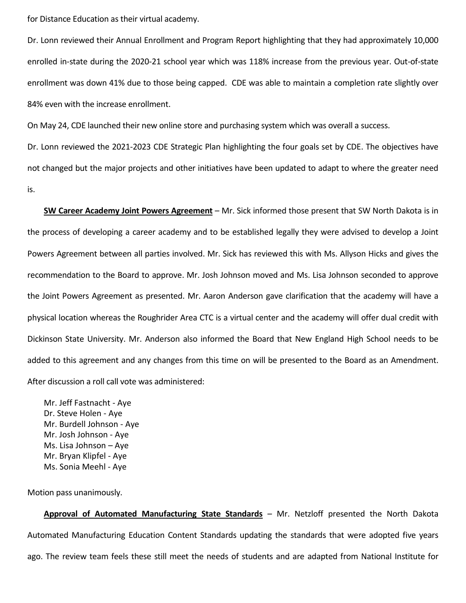for Distance Education as their virtual academy.

Dr. Lonn reviewed their Annual Enrollment and Program Report highlighting that they had approximately 10,000 enrolled in-state during the 2020-21 school year which was 118% increase from the previous year. Out-of-state enrollment was down 41% due to those being capped. CDE was able to maintain a completion rate slightly over 84% even with the increase enrollment.

On May 24, CDE launched their new online store and purchasing system which was overall a success.

Dr. Lonn reviewed the 2021-2023 CDE Strategic Plan highlighting the four goals set by CDE. The objectives have not changed but the major projects and other initiatives have been updated to adapt to where the greater need is.

**SW Career Academy Joint Powers Agreement** – Mr. Sick informed those present that SW North Dakota is in the process of developing a career academy and to be established legally they were advised to develop a Joint Powers Agreement between all parties involved. Mr. Sick has reviewed this with Ms. Allyson Hicks and gives the recommendation to the Board to approve. Mr. Josh Johnson moved and Ms. Lisa Johnson seconded to approve the Joint Powers Agreement as presented. Mr. Aaron Anderson gave clarification that the academy will have a physical location whereas the Roughrider Area CTC is a virtual center and the academy will offer dual credit with Dickinson State University. Mr. Anderson also informed the Board that New England High School needs to be added to this agreement and any changes from this time on will be presented to the Board as an Amendment. After discussion a roll call vote was administered:

Mr. Jeff Fastnacht - Aye Dr. Steve Holen - Aye Mr. Burdell Johnson - Aye Mr. Josh Johnson - Aye Ms. Lisa Johnson – Aye Mr. Bryan Klipfel - Aye Ms. Sonia Meehl - Aye

Motion pass unanimously.

**Approval of Automated Manufacturing State Standards** – Mr. Netzloff presented the North Dakota Automated Manufacturing Education Content Standards updating the standards that were adopted five years ago. The review team feels these still meet the needs of students and are adapted from National Institute for